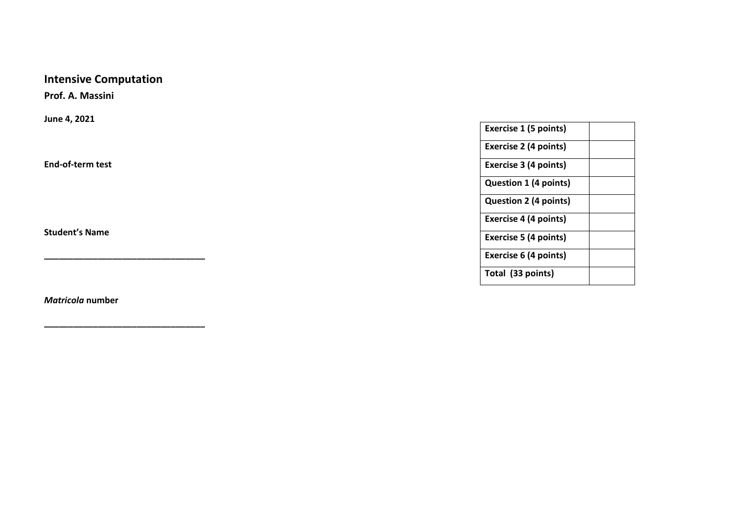# **Intensive Computation**

**Prof. A. Massini** 

**June 4, 2021**

**End-of-term test**

**Student's Name** 

*Matricola* **number** 

**\_\_\_\_\_\_\_\_\_\_\_\_\_\_\_\_\_\_\_\_\_\_\_\_\_\_\_\_\_\_\_\_\_**

**\_\_\_\_\_\_\_\_\_\_\_\_\_\_\_\_\_\_\_\_\_\_\_\_\_\_\_\_\_\_\_\_\_**

| Exercise 1 (5 points)        |  |
|------------------------------|--|
| <b>Exercise 2 (4 points)</b> |  |
| Exercise 3 (4 points)        |  |
| <b>Question 1 (4 points)</b> |  |
| <b>Question 2 (4 points)</b> |  |
| <b>Exercise 4 (4 points)</b> |  |
| <b>Exercise 5 (4 points)</b> |  |
| Exercise 6 (4 points)        |  |
| Total (33 points)            |  |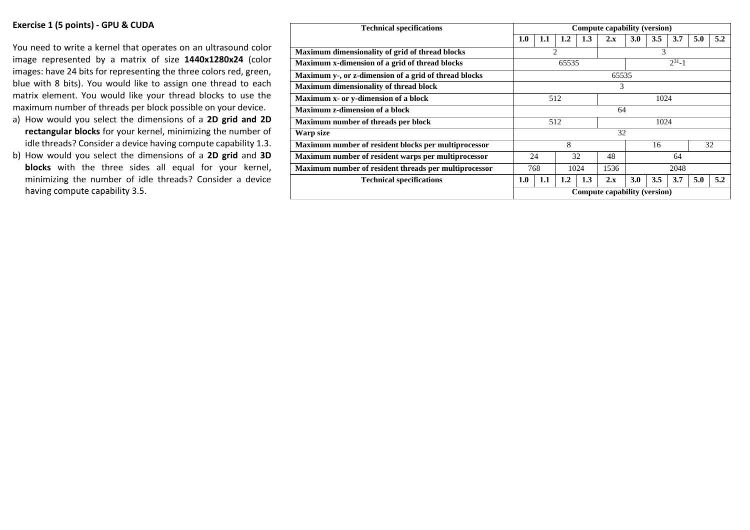#### **Exercise 1 (5 points) - GPU & CUDA**

You need to write a kernel that operates on an ultrasound color image represented by a matrix of size **1440x1280x24** (color images: have 24 bits for representing the three colors red, green, blue with 8 bits). You would like to assign one thread to each matrix element. You would like your thread blocks to use the maximum number of threads per block possible on your device.

- a) How would you select the dimensions of a **2D grid and 2D rectangular blocks** for your kernel, minimizing the number of idle threads? Consider a device having compute capability 1.3.
- b) How would you select the dimensions of a **2D grid** and **3D blocks** with the three sides all equal for your kernel, minimizing the number of idle threads? Consider a device having compute capability 3.5.

| <b>Technical specifications</b>                       | Compute capability (version) |                       |     |      |                |     |     |     |     |     |
|-------------------------------------------------------|------------------------------|-----------------------|-----|------|----------------|-----|-----|-----|-----|-----|
|                                                       | 1.0                          | 1.1                   | 1.2 | 1.3  | $2 \mathbf{x}$ | 3.0 | 3.5 | 3.7 | 5.0 | 5.2 |
| Maximum dimensionality of grid of thread blocks       |                              | 3<br>$\overline{c}$   |     |      |                |     |     |     |     |     |
| Maximum x-dimension of a grid of thread blocks        |                              | $2^{31} - 1$<br>65535 |     |      |                |     |     |     |     |     |
| Maximum y-, or z-dimension of a grid of thread blocks | 65535                        |                       |     |      |                |     |     |     |     |     |
| Maximum dimensionality of thread block                | 3                            |                       |     |      |                |     |     |     |     |     |
| Maximum x- or y-dimension of a block                  | 512<br>1024                  |                       |     |      |                |     |     |     |     |     |
| Maximum z-dimension of a block                        | 64                           |                       |     |      |                |     |     |     |     |     |
| Maximum number of threads per block                   | 512<br>1024                  |                       |     |      |                |     |     |     |     |     |
| Warp size                                             | 32                           |                       |     |      |                |     |     |     |     |     |
| Maximum number of resident blocks per multiprocessor  |                              | 8<br>16               |     |      | 32             |     |     |     |     |     |
| Maximum number of resident warps per multiprocessor   | 24<br>32                     |                       | 48  | 64   |                |     |     |     |     |     |
| Maximum number of resident threads per multiprocessor | 768<br>1024                  |                       |     | 1536 | 2048           |     |     |     |     |     |
| <b>Technical specifications</b>                       | 1.0                          | 1.1                   | 1.2 | 1.3  | 2.x            | 3.0 | 3.5 | 3.7 | 5.0 | 5.2 |
|                                                       | Compute capability (version) |                       |     |      |                |     |     |     |     |     |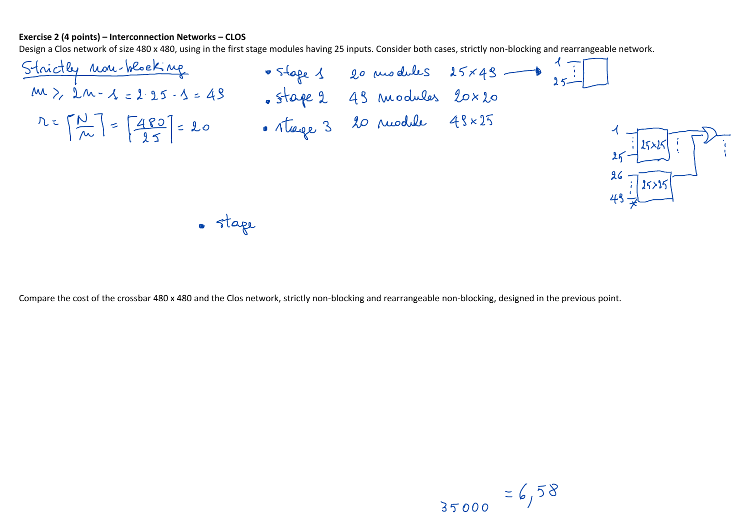### **Exercise 2 (4 points) – Interconnection Networks – CLOS**



Compare the cost of the crossbar 480 x 480 and the Clos network, strictly non-blocking and rearrangeable non-blocking, designed in the previous point.

$$
35000 = 6,58
$$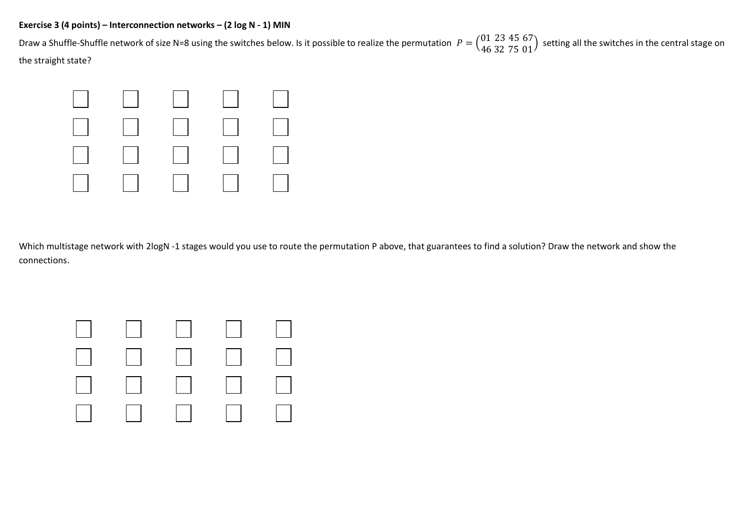## **Exercise 3 (4 points) – Interconnection networks – (2 log N - 1) MIN**

Draw a Shuffle-Shuffle network of size N=8 using the switches below. Is it possible to realize the permutation  $P = \begin{pmatrix} 01 & 23 & 45 & 67 \ 46 & 32 & 75 & 01 \end{pmatrix}$  setting all the switches in the central stage on the straight state?



Which multistage network with 2logN -1 stages would you use to route the permutation P above, that guarantees to find a solution? Draw the network and show the connections.

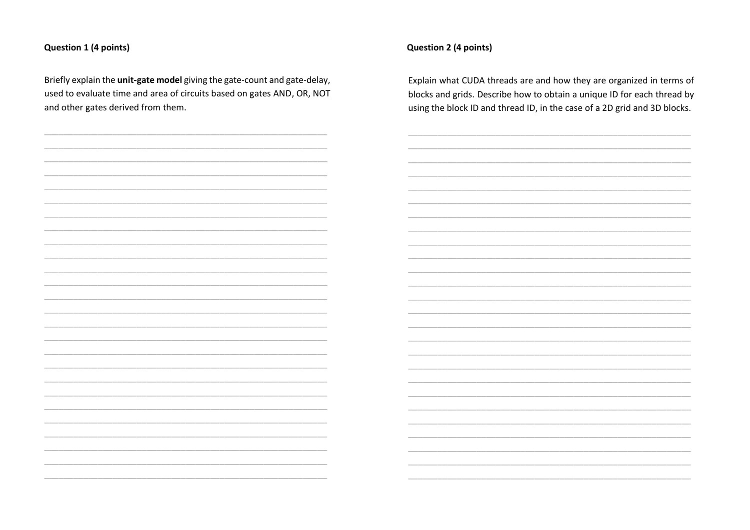## Question 1 (4 points)

 $\frac{1}{2}$ 

Briefly explain the unit-gate model giving the gate-count and gate-delay, used to evaluate time and area of circuits based on gates AND, OR, NOT and other gates derived from them.

# Question 2 (4 points)

Explain what CUDA threads are and how they are organized in terms of blocks and grids. Describe how to obtain a unique ID for each thread by using the block ID and thread ID, in the case of a 2D grid and 3D blocks.

| and the control of the control of |  |
|-----------------------------------|--|
|                                   |  |
|                                   |  |
|                                   |  |
|                                   |  |
|                                   |  |
|                                   |  |
|                                   |  |
|                                   |  |
|                                   |  |
|                                   |  |
|                                   |  |
|                                   |  |
|                                   |  |
|                                   |  |
|                                   |  |
|                                   |  |
|                                   |  |
|                                   |  |
|                                   |  |
|                                   |  |
|                                   |  |
|                                   |  |
|                                   |  |
|                                   |  |
|                                   |  |
|                                   |  |
|                                   |  |
|                                   |  |
|                                   |  |
|                                   |  |
|                                   |  |
|                                   |  |
|                                   |  |
|                                   |  |
|                                   |  |
|                                   |  |
|                                   |  |
|                                   |  |
|                                   |  |
|                                   |  |
|                                   |  |
|                                   |  |
|                                   |  |
|                                   |  |
|                                   |  |
|                                   |  |
|                                   |  |
|                                   |  |
|                                   |  |
|                                   |  |
|                                   |  |
|                                   |  |
|                                   |  |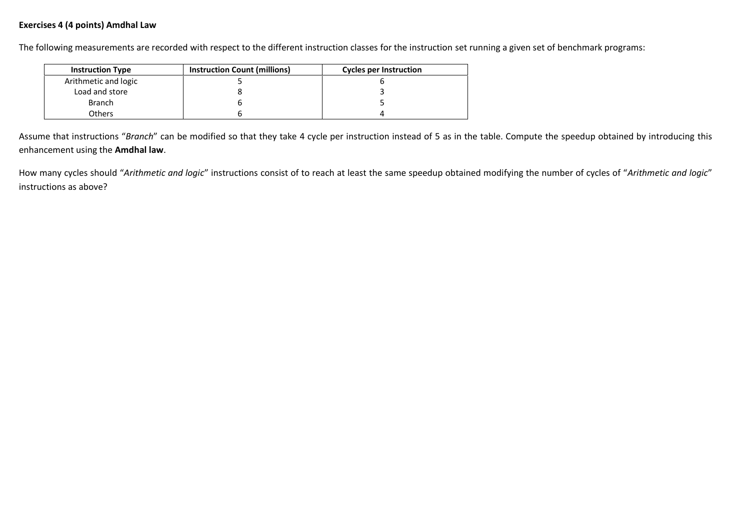## **Exercises 4 (4 points) Amdhal Law**

The following measurements are recorded with respect to the different instruction classes for the instruction set running a given set of benchmark programs:

| <b>Instruction Type</b> | <b>Instruction Count (millions)</b> | <b>Cycles per Instruction</b> |
|-------------------------|-------------------------------------|-------------------------------|
| Arithmetic and logic    |                                     |                               |
| Load and store          |                                     |                               |
| <b>Branch</b>           |                                     |                               |
| Others                  |                                     |                               |

Assume that instructions "*Branch*" can be modified so that they take 4 cycle per instruction instead of 5 as in the table. Compute the speedup obtained by introducing this enhancement using the **Amdhal law**.

How many cycles should "*Arithmetic and logic*" instructions consist of to reach at least the same speedup obtained modifying the number of cycles of "*Arithmetic and logic*" instructions as above?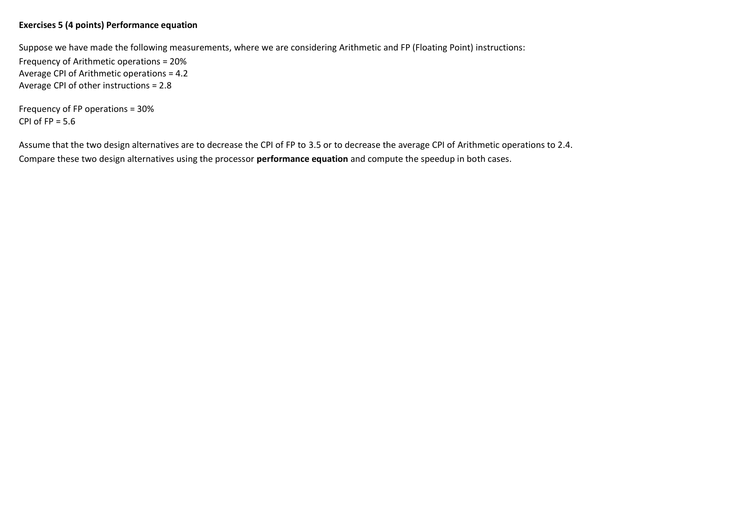## **Exercises 5 (4 points) Performance equation**

Suppose we have made the following measurements, where we are considering Arithmetic and FP (Floating Point) instructions: Frequency of Arithmetic operations = 20% Average CPI of Arithmetic operations = 4.2 Average CPI of other instructions = 2.8

Frequency of FP operations = 30% CPI of  $FP = 5.6$ 

Assume that the two design alternatives are to decrease the CPI of FP to 3.5 or to decrease the average CPI of Arithmetic operations to 2.4. Compare these two design alternatives using the processor **performance equation** and compute the speedup in both cases.